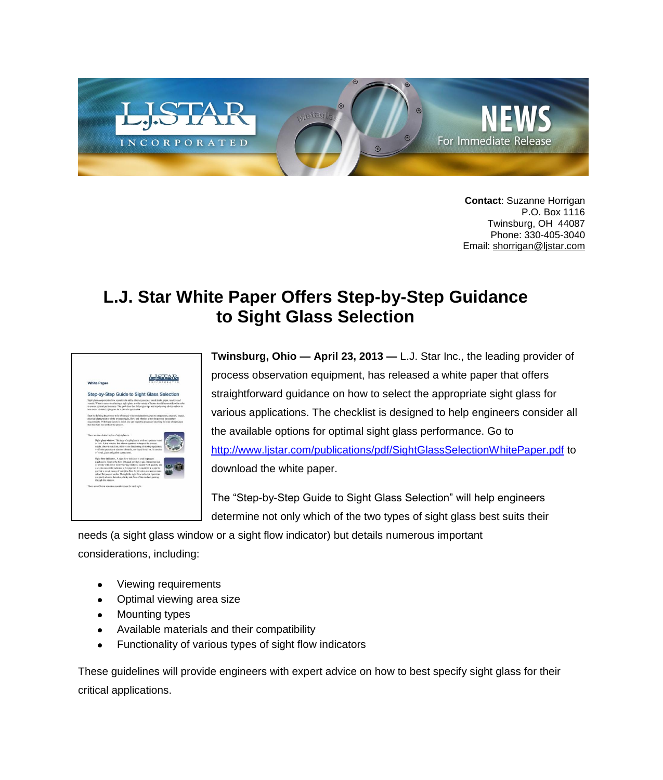

**Contact**: Suzanne Horrigan P.O. Box 1116 Twinsburg, OH 44087 Phone: 330-405-3040 Email: [shorrigan@ljstar.com](mailto:shorrigan@ljstar.com)

## **L.J. Star White Paper Offers Step-by-Step Guidance to Sight Glass Selection**

| <b>White Paper</b>                                                                                                                                                                                                                                                                                                                                                                                                                                                                                                                                   | COSPORA                                                                                                                                                                                                                                                                                                                     |
|------------------------------------------------------------------------------------------------------------------------------------------------------------------------------------------------------------------------------------------------------------------------------------------------------------------------------------------------------------------------------------------------------------------------------------------------------------------------------------------------------------------------------------------------------|-----------------------------------------------------------------------------------------------------------------------------------------------------------------------------------------------------------------------------------------------------------------------------------------------------------------------------|
|                                                                                                                                                                                                                                                                                                                                                                                                                                                                                                                                                      | Step-by-Step Guide to Sight Glass Selection                                                                                                                                                                                                                                                                                 |
| best salest the ideal walst aluss for a specific application.                                                                                                                                                                                                                                                                                                                                                                                                                                                                                        | Sight glass components allow operators to safely observe processes inside tools, pipes, reactors and<br>vessels. When it goesn to selecting a sight alass, a wide variety of factors should be considered in order<br>to create optimal performance. The guidelines that follow give tips and step-by-step ishice on how to |
| that best saits the needs of the process.                                                                                                                                                                                                                                                                                                                                                                                                                                                                                                            | Start by defining the property to be observed, with considerations alves to temperature, pressure, impact,<br>physical characteristics of the process media. flow, and whether or not the process has sanitary<br>requirements. With these factors is mind, one can begin the process of selecting the type of sight class  |
| There are two distinct styles of sight plasses:<br>Sight glass window. This two of sight glass is used on a process vessel<br>or task. It is a window that allows operators to inspect the process.<br>redia, observe reactions, observe the functioning of mixing equipment.<br>verify the presence or absence of media, see liquid level, etc. It consists.<br>of metal, also and quitet components.                                                                                                                                               |                                                                                                                                                                                                                                                                                                                             |
| Sight flow indicator. A sight flow indicator is used in process<br>pipelines to observe the flow of liquid, powder or any. It is comprised<br>of a body with one or most viewing windows, usually with gaslots, and<br>a way to mount the indicator to the pipeline. It is installed in a pipe to<br>provide a visual means of verifying flow for direction and approximate<br>mic of the process media. Through the sight flow indicator, operators,<br>can casily observe the color, clarity and flow of the medium passing<br>firough the window. |                                                                                                                                                                                                                                                                                                                             |
| There are different velocies considerations for each style.                                                                                                                                                                                                                                                                                                                                                                                                                                                                                          |                                                                                                                                                                                                                                                                                                                             |

**Twinsburg, Ohio — April 23, 2013 —** L.J. Star Inc., the leading provider of process observation equipment, has released a white paper that offers straightforward guidance on how to select the appropriate sight glass for various applications. The checklist is designed to help engineers consider all the available options for optimal sight glass performance. Go to <http://www.ljstar.com/publications/pdf/SightGlassSelectionWhitePaper.pdf> to download the white paper.

The "Step-by-Step Guide to Sight Glass Selection" will help engineers determine not only which of the two types of sight glass best suits their

needs (a sight glass window or a sight flow indicator) but details numerous important considerations, including:

- Viewing requirements
- Optimal viewing area size
- Mounting types
- Available materials and their compatibility
- Functionality of various types of sight flow indicators  $\bullet$

These guidelines will provide engineers with expert advice on how to best specify sight glass for their critical applications.